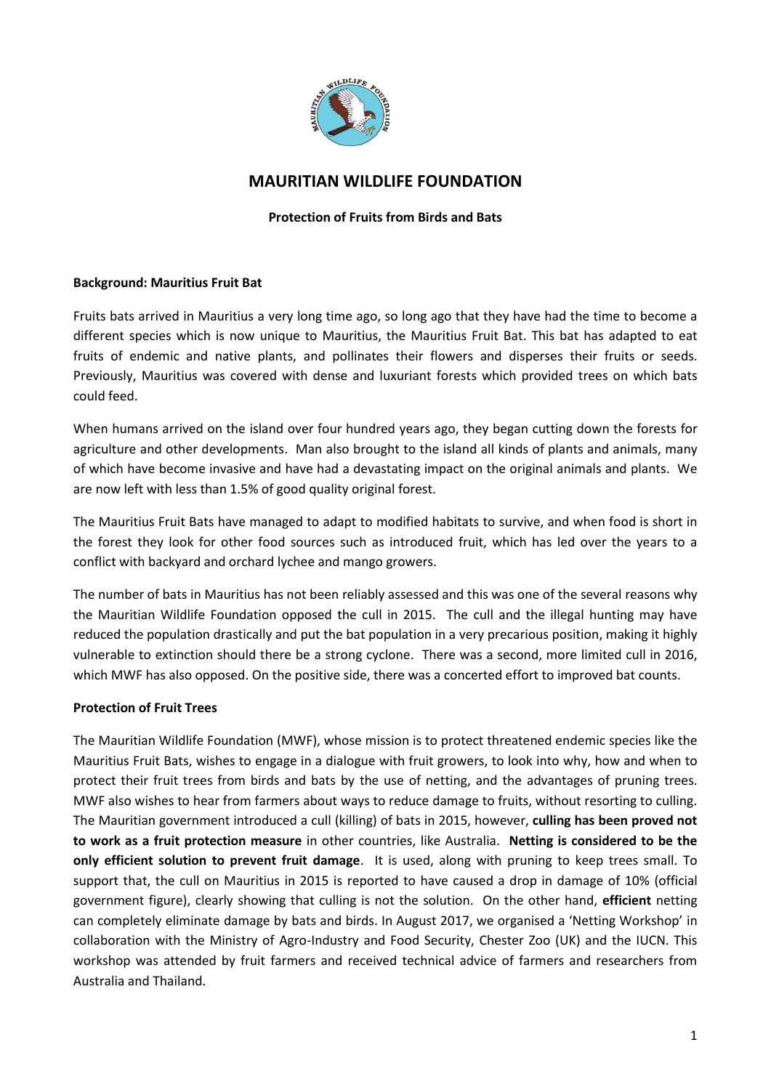

# **MAURITIAN WILDLIFE FOUNDATION**

### **Protection of Fruits from Birds and Bats**

### **Background: Mauritius Fruit Bat**

Fruits bats arrived in Mauritius a very long time ago, so long ago that they have had the time to become a different species which is now unique to Mauritius, the Mauritius Fruit Bat. This bat has adapted to eat fruits of endemic and native plants, and pollinates their flowers and disperses their fruits or seeds. Previously, Mauritius was covered with dense and luxuriant forests which provided trees on which bats could feed.

When humans arrived on the island over four hundred years ago, they began cutting down the forests for agriculture and other developments. Man also brought to the island all kinds of plants and animals, many of which have become invasive and have had a devastating impact on the original animals and plants. We are now left with less than 1.5% of good quality original forest.

The Mauritius Fruit Bats have managed to adapt to modified habitats to survive, and when food is short in the forest they look for other food sources such as introduced fruit, which has led over the years to a conflict with backyard and orchard lychee and mango growers.

The number of bats in Mauritius has not been reliably assessed and this was one of the several reasons why the Mauritian Wildlife Foundation opposed the cull in 2015. The cull and the illegal hunting may have reduced the population drastically and put the bat population in a very precarious position, making it highly vulnerable to extinction should there be a strong cyclone. There was a second, more limited cull in 2016, which MWF has also opposed. On the positive side, there was a concerted effort to improved bat counts.

### **Protection of Fruit Trees**

The Mauritian Wildlife Foundation (MWF), whose mission is to protect threatened endemic species like the Mauritius Fruit Bats, wishes to engage in a dialogue with fruit growers, to look into why, how and when to protect their fruit trees from birds and bats by the use of netting, and the advantages of pruning trees. MWF also wishes to hear from farmers about ways to reduce damage to fruits, without resorting to culling. The Mauritian government introduced a cull (killing) of bats in 2015, however, **culling has been proved not to work as a fruit protection measure** in other countries, like Australia. **Netting is considered to be the only efficient solution to prevent fruit damage**. It is used, along with pruning to keep trees small. To support that, the cull on Mauritius in 2015 is reported to have caused a drop in damage of 10% (official government figure), clearly showing that culling is not the solution. On the other hand, **efficient** netting can completely eliminate damage by bats and birds. In August 2017, we organised a 'Netting Workshop' in collaboration with the Ministry of Agro-Industry and Food Security, Chester Zoo (UK) and the IUCN. This workshop was attended by fruit farmers and received technical advice of farmers and researchers from Australia and Thailand.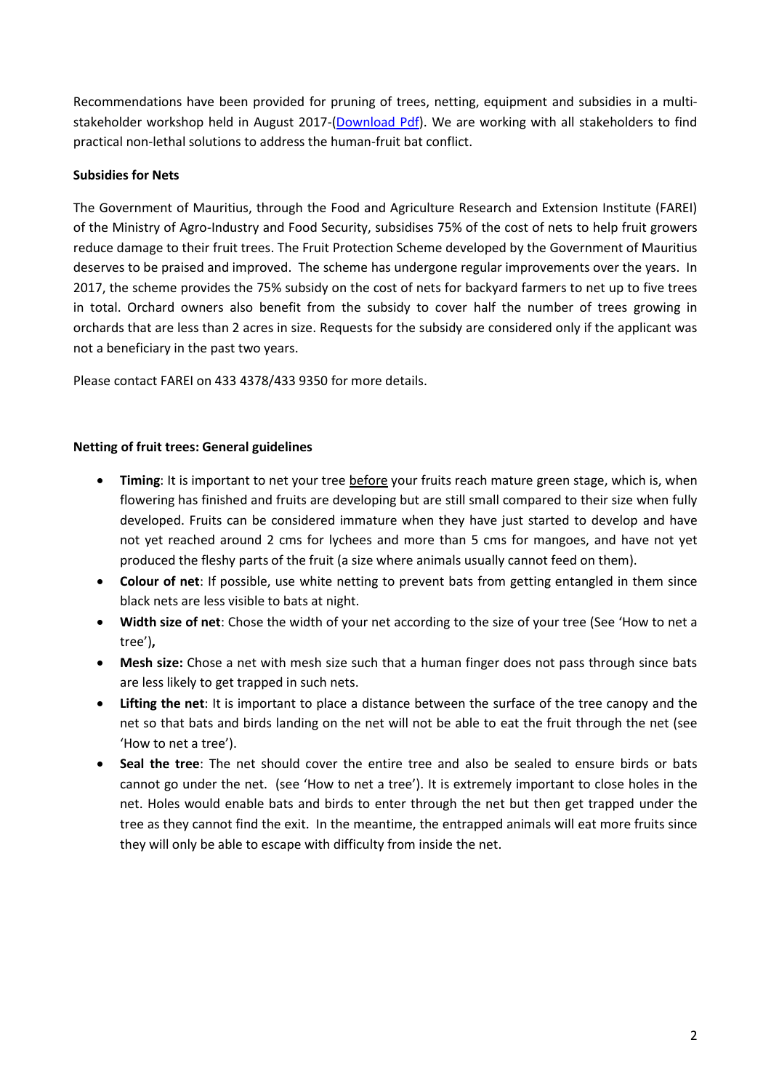Recommendations have been provided for pruning of trees, netting, equipment and subsidies in a multi-stakeholder workshop held in August 2017-[\(Download Pdf\)](http://www.mauritian-wildlife.org/application/templates/default/images/gallery/Mauritius%20Fruit%20Bat/Netting%20Workshop%20Report%20Aug%202017%20Recommendations%20VF%20201017.pdf). We are working with all stakeholders to find practical non-lethal solutions to address the human-fruit bat conflict.

# **Subsidies for Nets**

The Government of Mauritius, through the Food and Agriculture Research and Extension Institute (FAREI) of the Ministry of Agro-Industry and Food Security, subsidises 75% of the cost of nets to help fruit growers reduce damage to their fruit trees. The Fruit Protection Scheme developed by the Government of Mauritius deserves to be praised and improved. The scheme has undergone regular improvements over the years. In 2017, the scheme provides the 75% subsidy on the cost of nets for backyard farmers to net up to five trees in total. Orchard owners also benefit from the subsidy to cover half the number of trees growing in orchards that are less than 2 acres in size. Requests for the subsidy are considered only if the applicant was not a beneficiary in the past two years.

Please contact FAREI on 433 4378/433 9350 for more details.

### **Netting of fruit trees: General guidelines**

- **Timing**: It is important to net your tree before your fruits reach mature green stage, which is, when flowering has finished and fruits are developing but are still small compared to their size when fully developed. Fruits can be considered immature when they have just started to develop and have not yet reached around 2 cms for lychees and more than 5 cms for mangoes, and have not yet produced the fleshy parts of the fruit (a size where animals usually cannot feed on them).
- **Colour of net**: If possible, use white netting to prevent bats from getting entangled in them since black nets are less visible to bats at night.
- **Width size of net**: Chose the width of your net according to the size of your tree (See 'How to net a tree')**,**
- **Mesh size:** Chose a net with mesh size such that a human finger does not pass through since bats are less likely to get trapped in such nets.
- **Lifting the net**: It is important to place a distance between the surface of the tree canopy and the net so that bats and birds landing on the net will not be able to eat the fruit through the net (see 'How to net a tree').
- **Seal the tree**: The net should cover the entire tree and also be sealed to ensure birds or bats cannot go under the net. (see 'How to net a tree'). It is extremely important to close holes in the net. Holes would enable bats and birds to enter through the net but then get trapped under the tree as they cannot find the exit. In the meantime, the entrapped animals will eat more fruits since they will only be able to escape with difficulty from inside the net.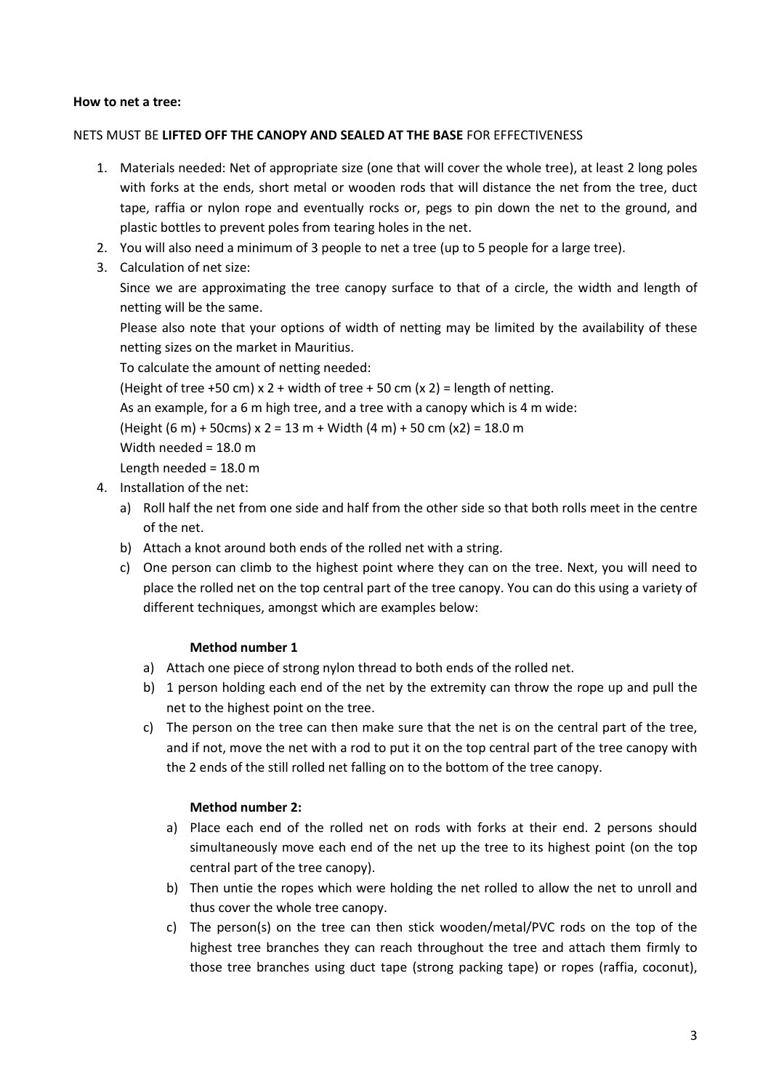### **How to net a tree:**

### NETS MUST BE **LIFTED OFF THE CANOPY AND SEALED AT THE BASE** FOR EFFECTIVENESS

- 1. Materials needed: Net of appropriate size (one that will cover the whole tree), at least 2 long poles with forks at the ends, short metal or wooden rods that will distance the net from the tree, duct tape, raffia or nylon rope and eventually rocks or, pegs to pin down the net to the ground, and plastic bottles to prevent poles from tearing holes in the net.
- 2. You will also need a minimum of 3 people to net a tree (up to 5 people for a large tree).
- 3. Calculation of net size:

Since we are approximating the tree canopy surface to that of a circle, the width and length of netting will be the same.

Please also note that your options of width of netting may be limited by the availability of these netting sizes on the market in Mauritius.

To calculate the amount of netting needed:

(Height of tree +50 cm)  $x$  2 + width of tree + 50 cm (x 2) = length of netting.

As an example, for a 6 m high tree, and a tree with a canopy which is 4 m wide:

(Height  $(6 \text{ m}) + 50 \text{ cm}$ ) x 2 = 13 m + Width  $(4 \text{ m}) + 50 \text{ cm}$  (x2) = 18.0 m

Width needed = 18.0 m

Length needed = 18.0 m

- 4. Installation of the net:
	- a) Roll half the net from one side and half from the other side so that both rolls meet in the centre of the net.
	- b) Attach a knot around both ends of the rolled net with a string.
	- c) One person can climb to the highest point where they can on the tree. Next, you will need to place the rolled net on the top central part of the tree canopy. You can do this using a variety of different techniques, amongst which are examples below:

### **Method number 1**

- a) Attach one piece of strong nylon thread to both ends of the rolled net.
- b) 1 person holding each end of the net by the extremity can throw the rope up and pull the net to the highest point on the tree.
- c) The person on the tree can then make sure that the net is on the central part of the tree, and if not, move the net with a rod to put it on the top central part of the tree canopy with the 2 ends of the still rolled net falling on to the bottom of the tree canopy.

### **Method number 2:**

- a) Place each end of the rolled net on rods with forks at their end. 2 persons should simultaneously move each end of the net up the tree to its highest point (on the top central part of the tree canopy).
- b) Then untie the ropes which were holding the net rolled to allow the net to unroll and thus cover the whole tree canopy.
- c) The person(s) on the tree can then stick wooden/metal/PVC rods on the top of the highest tree branches they can reach throughout the tree and attach them firmly to those tree branches using duct tape (strong packing tape) or ropes (raffia, coconut),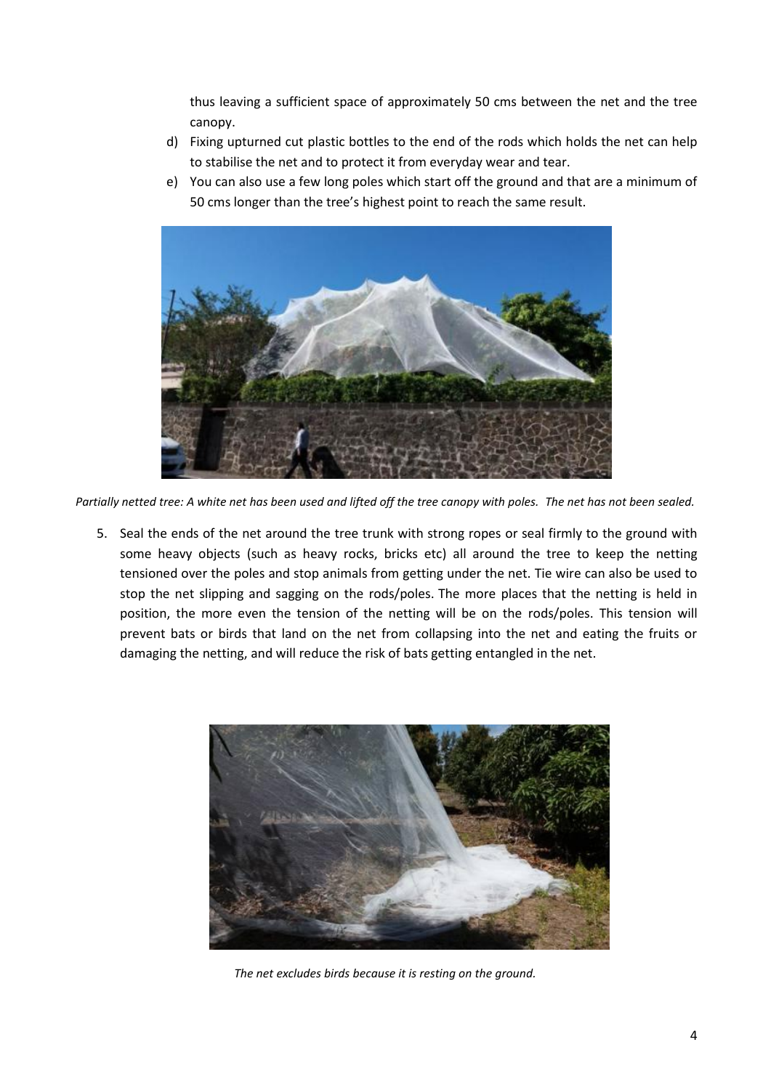thus leaving a sufficient space of approximately 50 cms between the net and the tree canopy.

- d) Fixing upturned cut plastic bottles to the end of the rods which holds the net can help to stabilise the net and to protect it from everyday wear and tear.
- e) You can also use a few long poles which start off the ground and that are a minimum of 50 cms longer than the tree's highest point to reach the same result.



*Partially netted tree: A white net has been used and lifted off the tree canopy with poles. The net has not been sealed.*

5. Seal the ends of the net around the tree trunk with strong ropes or seal firmly to the ground with some heavy objects (such as heavy rocks, bricks etc) all around the tree to keep the netting tensioned over the poles and stop animals from getting under the net. Tie wire can also be used to stop the net slipping and sagging on the rods/poles. The more places that the netting is held in position, the more even the tension of the netting will be on the rods/poles. This tension will prevent bats or birds that land on the net from collapsing into the net and eating the fruits or damaging the netting, and will reduce the risk of bats getting entangled in the net.



*The net excludes birds because it is resting on the ground.*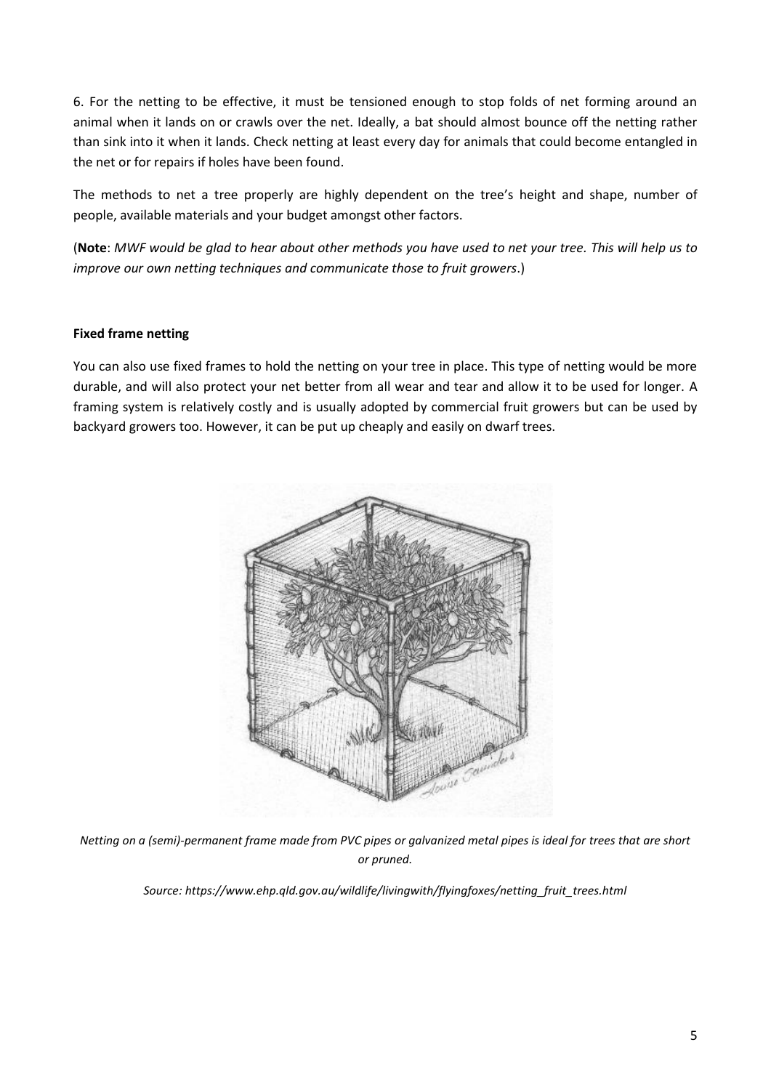6. For the netting to be effective, it must be tensioned enough to stop folds of net forming around an animal when it lands on or crawls over the net. Ideally, a bat should almost bounce off the netting rather than sink into it when it lands. Check netting at least every day for animals that could become entangled in the net or for repairs if holes have been found.

The methods to net a tree properly are highly dependent on the tree's height and shape, number of people, available materials and your budget amongst other factors.

(**Note**: *MWF would be glad to hear about other methods you have used to net your tree. This will help us to improve our own netting techniques and communicate those to fruit growers*.)

# **Fixed frame netting**

You can also use fixed frames to hold the netting on your tree in place. This type of netting would be more durable, and will also protect your net better from all wear and tear and allow it to be used for longer. A framing system is relatively costly and is usually adopted by commercial fruit growers but can be used by backyard growers too. However, it can be put up cheaply and easily on dwarf trees.



*Netting on a (semi)-permanent frame made from PVC pipes or galvanized metal pipes is ideal for trees that are short or pruned.*

*Source: https://www.ehp.qld.gov.au/wildlife/livingwith/flyingfoxes/netting\_fruit\_trees.html*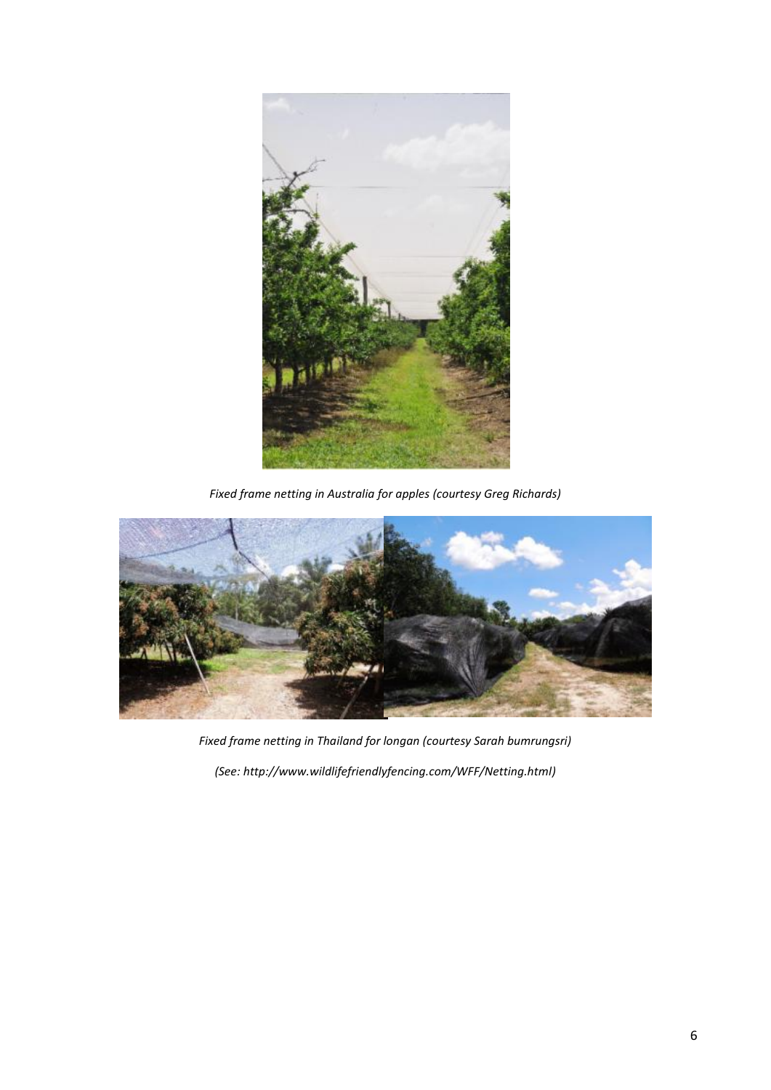

*Fixed frame netting in Australia for apples (courtesy Greg Richards)*



*Fixed frame netting in Thailand for longan (courtesy Sarah bumrungsri) (See: http://www.wildlifefriendlyfencing.com/WFF/Netting.html)*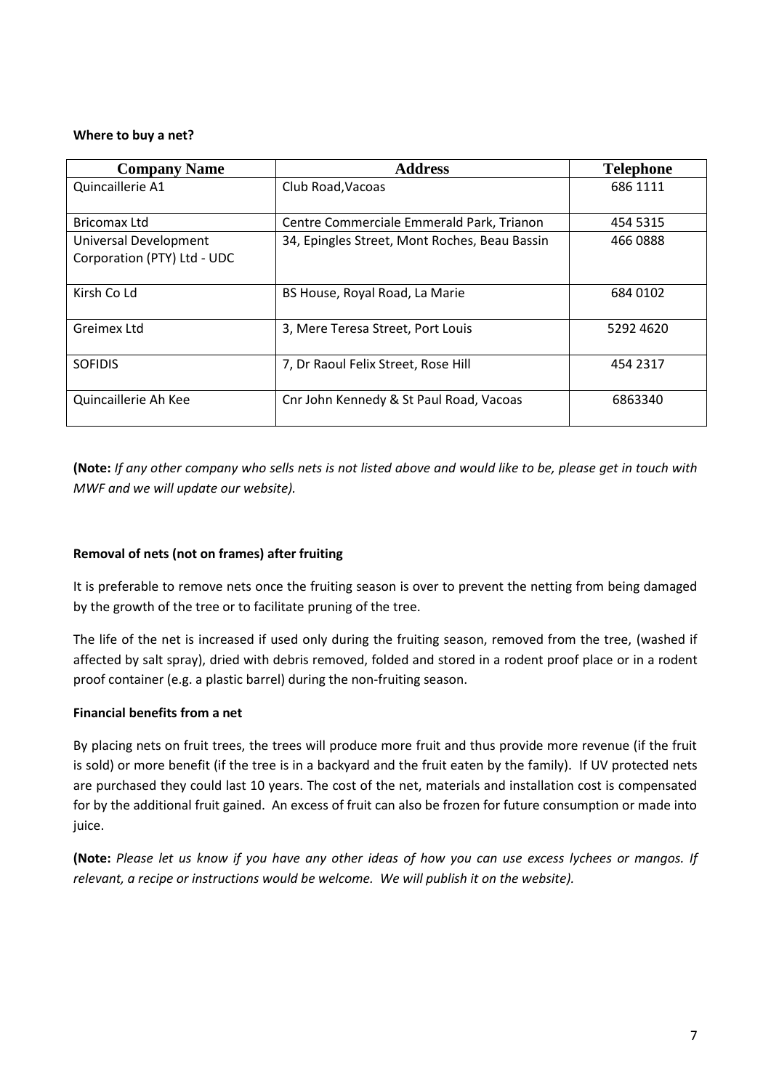### **Where to buy a net?**

| <b>Company Name</b>                                  | <b>Address</b>                                | <b>Telephone</b> |
|------------------------------------------------------|-----------------------------------------------|------------------|
| Quincaillerie A1                                     | Club Road, Vacoas                             | 686 1111         |
| <b>Bricomax Ltd</b>                                  | Centre Commerciale Emmerald Park, Trianon     | 454 5315         |
| Universal Development<br>Corporation (PTY) Ltd - UDC | 34, Epingles Street, Mont Roches, Beau Bassin | 466 0888         |
| Kirsh Co Ld                                          | BS House, Royal Road, La Marie                | 684 0102         |
| Greimex Ltd                                          | 3, Mere Teresa Street, Port Louis             | 5292 4620        |
| <b>SOFIDIS</b>                                       | 7, Dr Raoul Felix Street, Rose Hill           | 454 2317         |
| Quincaillerie Ah Kee                                 | Cnr John Kennedy & St Paul Road, Vacoas       | 6863340          |

**(Note:** *If any other company who sells nets is not listed above and would like to be, please get in touch with MWF and we will update our website).*

# **Removal of nets (not on frames) after fruiting**

It is preferable to remove nets once the fruiting season is over to prevent the netting from being damaged by the growth of the tree or to facilitate pruning of the tree.

The life of the net is increased if used only during the fruiting season, removed from the tree, (washed if affected by salt spray), dried with debris removed, folded and stored in a rodent proof place or in a rodent proof container (e.g. a plastic barrel) during the non-fruiting season.

# **Financial benefits from a net**

By placing nets on fruit trees, the trees will produce more fruit and thus provide more revenue (if the fruit is sold) or more benefit (if the tree is in a backyard and the fruit eaten by the family). If UV protected nets are purchased they could last 10 years. The cost of the net, materials and installation cost is compensated for by the additional fruit gained. An excess of fruit can also be frozen for future consumption or made into juice.

**(Note:** *Please let us know if you have any other ideas of how you can use excess lychees or mangos. If relevant, a recipe or instructions would be welcome. We will publish it on the website).*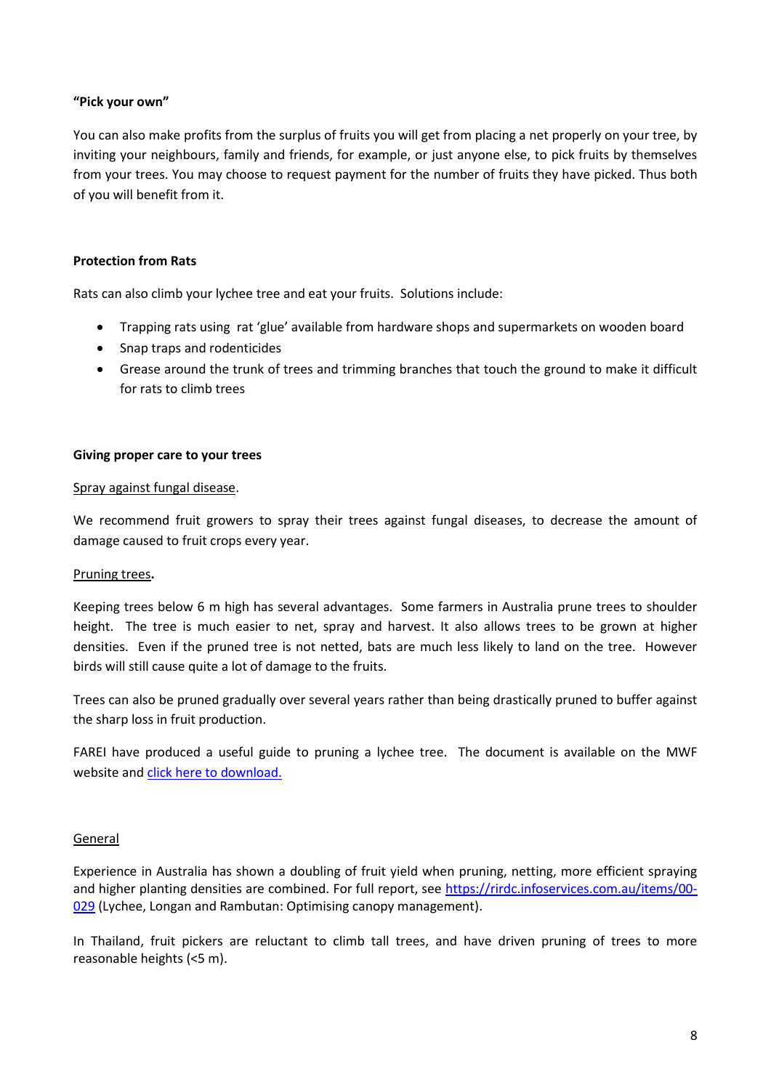### **"Pick your own"**

You can also make profits from the surplus of fruits you will get from placing a net properly on your tree, by inviting your neighbours, family and friends, for example, or just anyone else, to pick fruits by themselves from your trees. You may choose to request payment for the number of fruits they have picked. Thus both of you will benefit from it.

### **Protection from Rats**

Rats can also climb your lychee tree and eat your fruits. Solutions include:

- Trapping rats using rat 'glue' available from hardware shops and supermarkets on wooden board
- Snap traps and rodenticides
- Grease around the trunk of trees and trimming branches that touch the ground to make it difficult for rats to climb trees

### **Giving proper care to your trees**

#### Spray against fungal disease.

We recommend fruit growers to spray their trees against fungal diseases, to decrease the amount of damage caused to fruit crops every year.

### Pruning trees**.**

Keeping trees below 6 m high has several advantages. Some farmers in Australia prune trees to shoulder height. The tree is much easier to net, spray and harvest. It also allows trees to be grown at higher densities. Even if the pruned tree is not netted, bats are much less likely to land on the tree. However birds will still cause quite a lot of damage to the fruits.

Trees can also be pruned gradually over several years rather than being drastically pruned to buffer against the sharp loss in fruit production.

FAREI have produced a useful guide to pruning a lychee tree. The document is available on the MWF website an[d click here to download.](http://www.mauritian-wildlife.org/application/templates/default/images/gallery/News%20and%20Events/comment%20rabattre%20un%20litchier.pdf)

### General

Experience in Australia has shown a doubling of fruit yield when pruning, netting, more efficient spraying and higher planting densities are combined. For full report, see [https://rirdc.infoservices.com.au/items/00-](https://rirdc.infoservices.com.au/items/00-029) [029](https://rirdc.infoservices.com.au/items/00-029) (Lychee, Longan and Rambutan: Optimising canopy management).

In Thailand, fruit pickers are reluctant to climb tall trees, and have driven pruning of trees to more reasonable heights (<5 m).